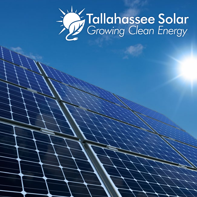# Tallahassee Solar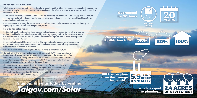#### **Power Your Life with Solar**

Tallahassee is known far and wide for its natural beauty, and the City of Tallahassee is committed to preserving our natural environment. As part of that commitment, the City is offering a new energy option to utility customers – solar.

Our community is leading the way toward a brighter future. Help preserve our natural beauty by signing up for solar today. Visit *Talgov.com/Solar*.

Solar power has many environmental benefits. By powering your life with solar energy, you can reduce your carbon footprint, reduce air and water emissions and reduce your family's use of fossil fuels. Solar power is clean and renewable.

Since moving is part of life sometimes, the City has made solar energy portable. As long as customers using solar energy remain a City utility customer, their subscription moves with them from residence to residence.

#### **Sign Up for Solar Today**

Residential, small- and medium-sized commercial customers can subscribe for all or a portion of their monthly electric bill to be powered by solar. By signing up for solar, customers set the fuel rate of their electric bill for 20 years. Customers can opt for one of three participation levels: 25, 50 and 100 percent.

## ign up for solar today by visiting *Talgov.com/Solar*

#### **Our Community is Leading the Way Toward a Brighter Future**

Currently, the City is constructing a new, 20 megawatt (MW) solar farm that will be capable of powering 3,400 homes and businesses in the Capital City. The solar farm, which is being constructed on Tallahassee International Airport property, is expected to be completed in fall 2017. Once complete, it will be one of the largest solar farms in the Sunshine State.

Planning is already underway for the construction of a second, 40 MW solar farm. This will make solar energy an option for even more City utility customers down the road. The completion of both solar farms will ultimately produce more than 30 times the amount of solar energy being produced in Tallahassee today.

### **Choose Your Level Flexible Rate Plans**

## **Guaranteed for 20 Years**

**100% subscription saves the average household...**

> **...which is equal to planting...**



100%



50%

# 25%